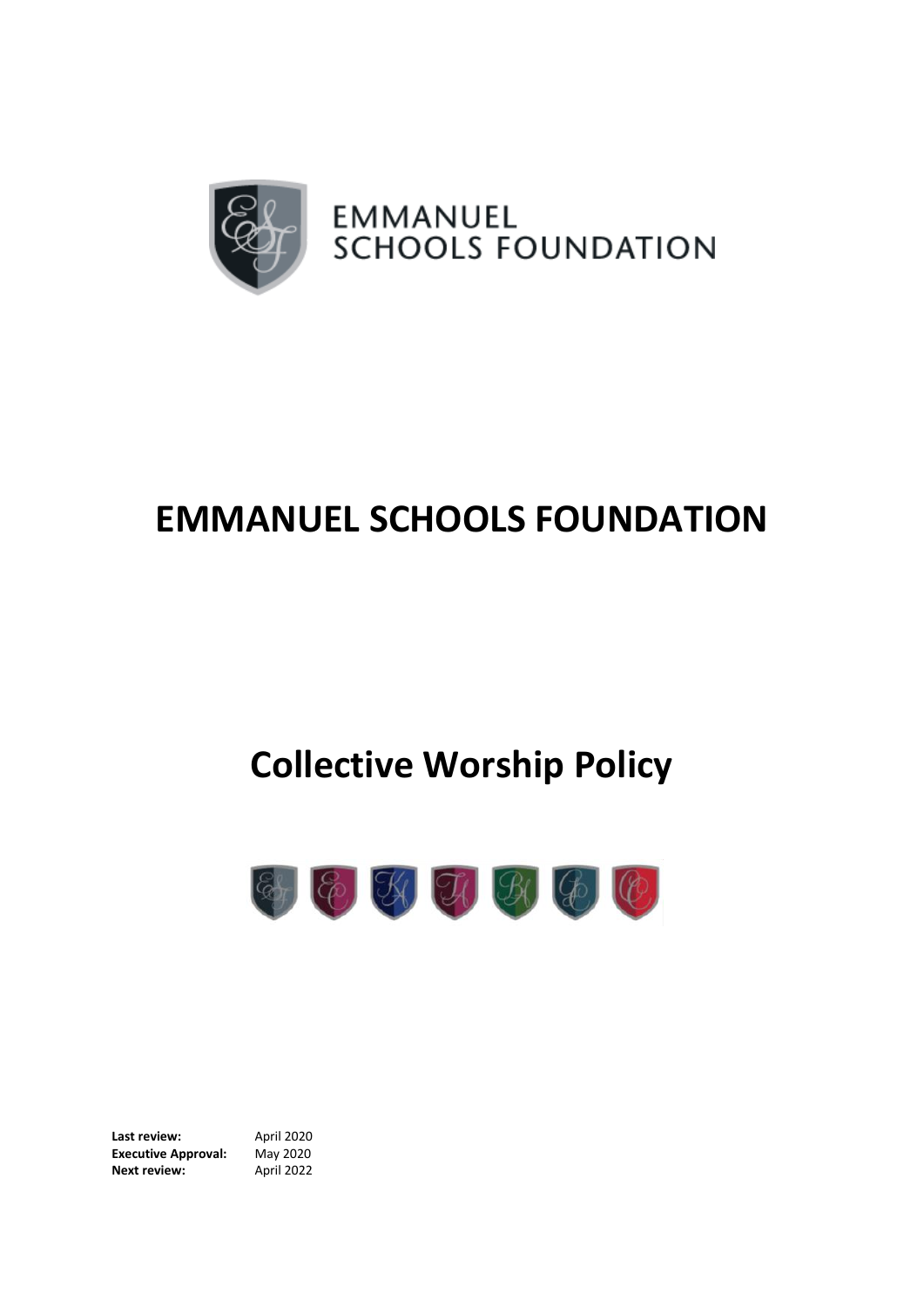

## **EMMANUEL SCHOOLS FOUNDATION**

## **Collective Worship Policy**



**Last review:** April 2020 **Executive Approval:** May 2020 **Next review:** April 2022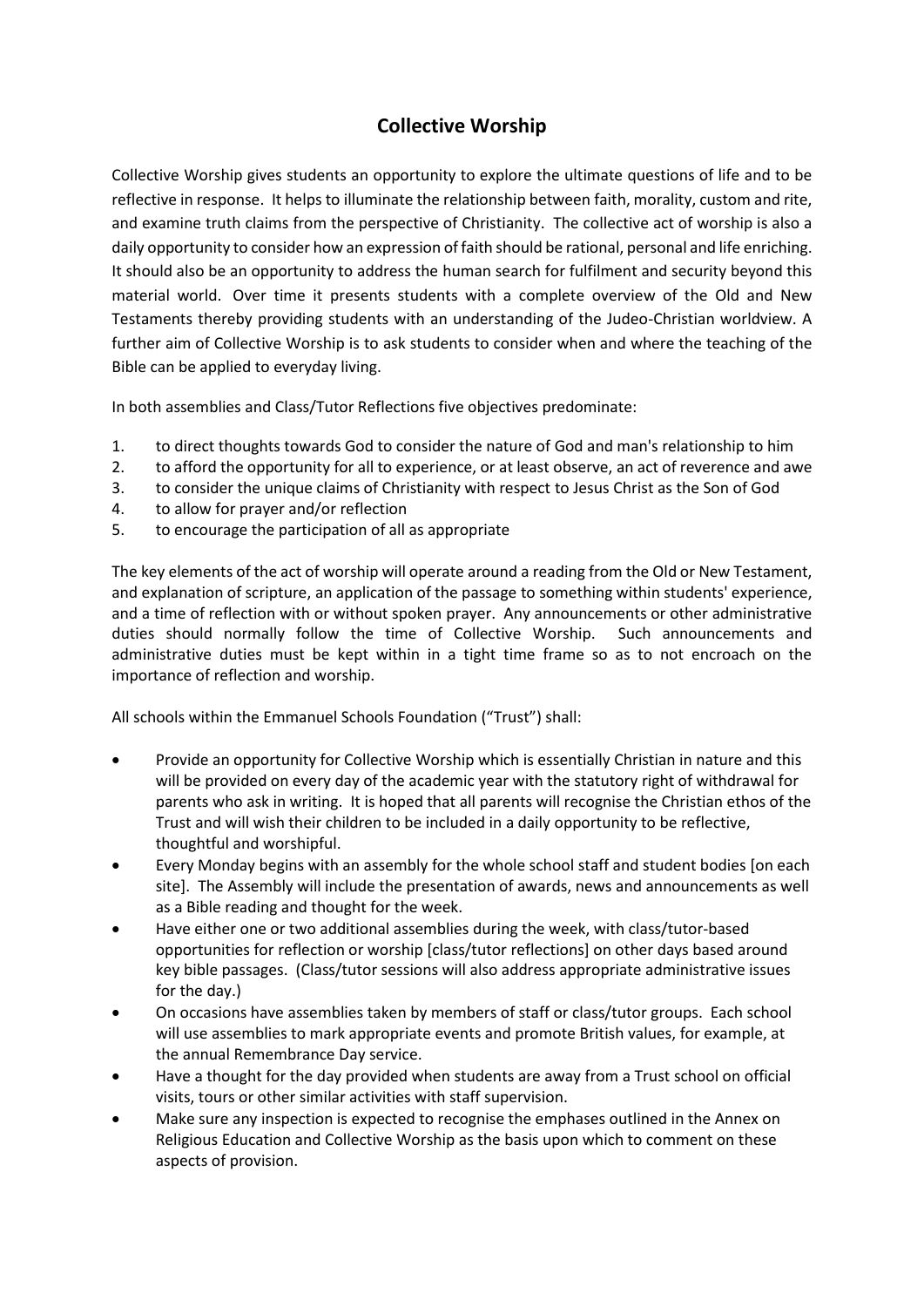## **Collective Worship**

Collective Worship gives students an opportunity to explore the ultimate questions of life and to be reflective in response. It helps to illuminate the relationship between faith, morality, custom and rite, and examine truth claims from the perspective of Christianity. The collective act of worship is also a daily opportunity to consider how an expression of faith should be rational, personal and life enriching. It should also be an opportunity to address the human search for fulfilment and security beyond this material world. Over time it presents students with a complete overview of the Old and New Testaments thereby providing students with an understanding of the Judeo-Christian worldview. A further aim of Collective Worship is to ask students to consider when and where the teaching of the Bible can be applied to everyday living.

In both assemblies and Class/Tutor Reflections five objectives predominate:

- 1. to direct thoughts towards God to consider the nature of God and man's relationship to him
- 2. to afford the opportunity for all to experience, or at least observe, an act of reverence and awe
- 3. to consider the unique claims of Christianity with respect to Jesus Christ as the Son of God
- 4. to allow for prayer and/or reflection
- 5. to encourage the participation of all as appropriate

The key elements of the act of worship will operate around a reading from the Old or New Testament, and explanation of scripture, an application of the passage to something within students' experience, and a time of reflection with or without spoken prayer. Any announcements or other administrative duties should normally follow the time of Collective Worship. Such announcements and administrative duties must be kept within in a tight time frame so as to not encroach on the importance of reflection and worship.

All schools within the Emmanuel Schools Foundation ("Trust") shall:

- Provide an opportunity for Collective Worship which is essentially Christian in nature and this will be provided on every day of the academic year with the statutory right of withdrawal for parents who ask in writing. It is hoped that all parents will recognise the Christian ethos of the Trust and will wish their children to be included in a daily opportunity to be reflective, thoughtful and worshipful.
- Every Monday begins with an assembly for the whole school staff and student bodies [on each site]. The Assembly will include the presentation of awards, news and announcements as well as a Bible reading and thought for the week.
- Have either one or two additional assemblies during the week, with class/tutor-based opportunities for reflection or worship [class/tutor reflections] on other days based around key bible passages. (Class/tutor sessions will also address appropriate administrative issues for the day.)
- On occasions have assemblies taken by members of staff or class/tutor groups. Each school will use assemblies to mark appropriate events and promote British values, for example, at the annual Remembrance Day service.
- Have a thought for the day provided when students are away from a Trust school on official visits, tours or other similar activities with staff supervision.
- Make sure any inspection is expected to recognise the emphases outlined in the Annex on Religious Education and Collective Worship as the basis upon which to comment on these aspects of provision.